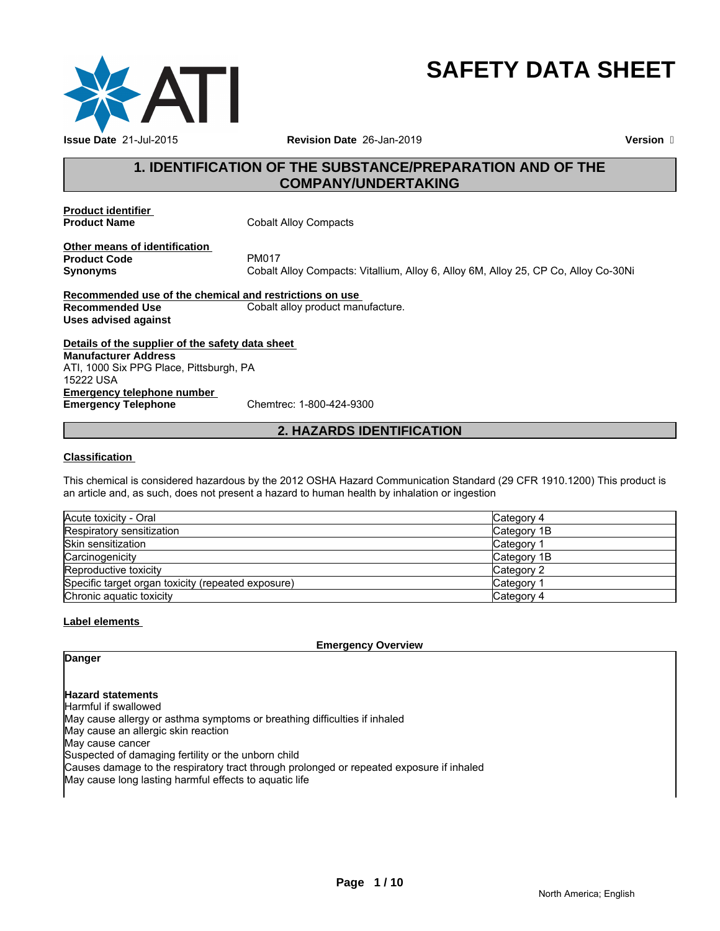

# **SAFETY DATA SHEET**

# **1. IDENTIFICATION OF THE SUBSTANCE/PREPARATION AND OF THE COMPANY/UNDERTAKING**

**Product identifier** 

**Cobalt Alloy Compacts** 

**Other means of identification**<br>**Product Code** PM017 **Product Code**<br>Synonyms

**Synonyms** Cobalt Alloy Compacts: Vitallium, Alloy 6, Alloy 6M, Alloy 25, CP Co, Alloy Co-30Ni

**Recommended use of the chemical and restrictions on use Recommended Use Cobalt alloy product manufacture. Uses advised against**

**Details of the supplier of the safety data sheet Emergency telephone number Emergency Telephone** Chemtrec: 1-800-424-9300 **Manufacturer Address** ATI, 1000 Six PPG Place, Pittsburgh, PA 15222 USA

# **2. HAZARDS IDENTIFICATION**

#### **Classification**

This chemical is considered hazardous by the 2012 OSHA Hazard Communication Standard (29 CFR 1910.1200) This product is an article and, as such, does not present a hazard to human health by inhalation or ingestion

| Acute toxicity - Oral                              | lCategory 4 |
|----------------------------------------------------|-------------|
| Respiratory sensitization                          | Category 1B |
| <b>Skin sensitization</b>                          | Category    |
| Carcinogenicity                                    | Category 1B |
| Reproductive toxicity                              | lCategory 2 |
| Specific target organ toxicity (repeated exposure) | Category    |
| Chronic aguatic toxicity                           | Category 4  |

#### **Label elements**

**Emergency Overview**

**Danger**

#### **Hazard statements**

Harmful if swallowed May cause allergy or asthma symptoms or breathing difficulties if inhaled May cause an allergic skin reaction May cause cancer Suspected of damaging fertility or the unborn child Causes damage to the respiratory tract through prolonged or repeated exposure if inhaled May cause long lasting harmful effects to aquatic life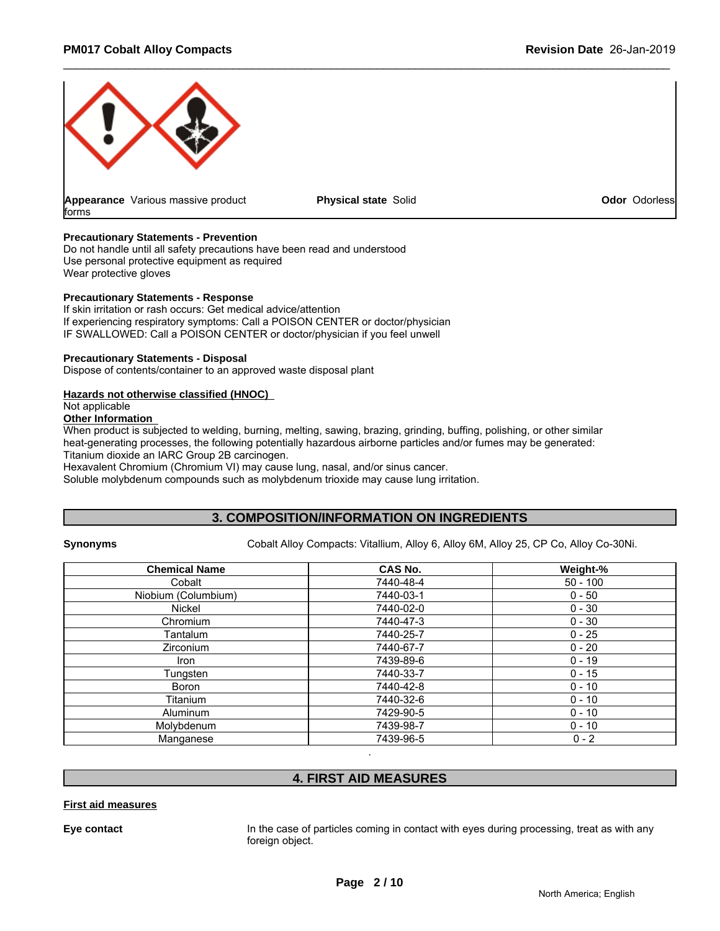

#### **Precautionary Statements - Prevention**

Do not handle until all safety precautions have been read and understood Use personal protective equipment as required Wear protective gloves

#### **Precautionary Statements - Response**

If skin irritation or rash occurs: Get medical advice/attention If experiencing respiratory symptoms: Call a POISON CENTER or doctor/physician IF SWALLOWED: Call a POISON CENTER or doctor/physician if you feel unwell

#### **Precautionary Statements - Disposal**

Dispose of contents/container to an approved waste disposal plant

#### **Hazards not otherwise classified (HNOC)**

Not applicable

### **Other Information**

When product is subjected to welding, burning, melting, sawing, brazing, grinding, buffing, polishing, or other similar heat-generating processes, the following potentially hazardous airborne particles and/or fumes may be generated: Titanium dioxide an IARC Group 2B carcinogen.

Hexavalent Chromium (Chromium VI) may cause lung, nasal, and/or sinus cancer.

Soluble molybdenum compounds such as molybdenum trioxide may cause lung irritation.

### **3. COMPOSITION/INFORMATION ON INGREDIENTS**

**Synonyms** Cobalt Alloy Compacts: Vitallium, Alloy 6, Alloy 6M, Alloy 25, CP Co, Alloy Co-30Ni.

| <b>Chemical Name</b> | CAS No.   | Weight-%   |
|----------------------|-----------|------------|
| Cobalt               | 7440-48-4 | $50 - 100$ |
| Niobium (Columbium)  | 7440-03-1 | $0 - 50$   |
| Nickel               | 7440-02-0 | $0 - 30$   |
| Chromium             | 7440-47-3 | $0 - 30$   |
| Tantalum             | 7440-25-7 | $0 - 25$   |
| Zirconium            | 7440-67-7 | $0 - 20$   |
| Iron                 | 7439-89-6 | $0 - 19$   |
| Tungsten             | 7440-33-7 | $0 - 15$   |
| Boron                | 7440-42-8 | $0 - 10$   |
| Titanium             | 7440-32-6 | $0 - 10$   |
| Aluminum             | 7429-90-5 | $0 - 10$   |
| Molybdenum           | 7439-98-7 | $0 - 10$   |
| Manganese            | 7439-96-5 | $0 - 2$    |

# **4. FIRST AID MEASURES**

.

#### **First aid measures**

**Eye contact** In the case of particles coming in contact with eyes during processing, treat as with any foreign object.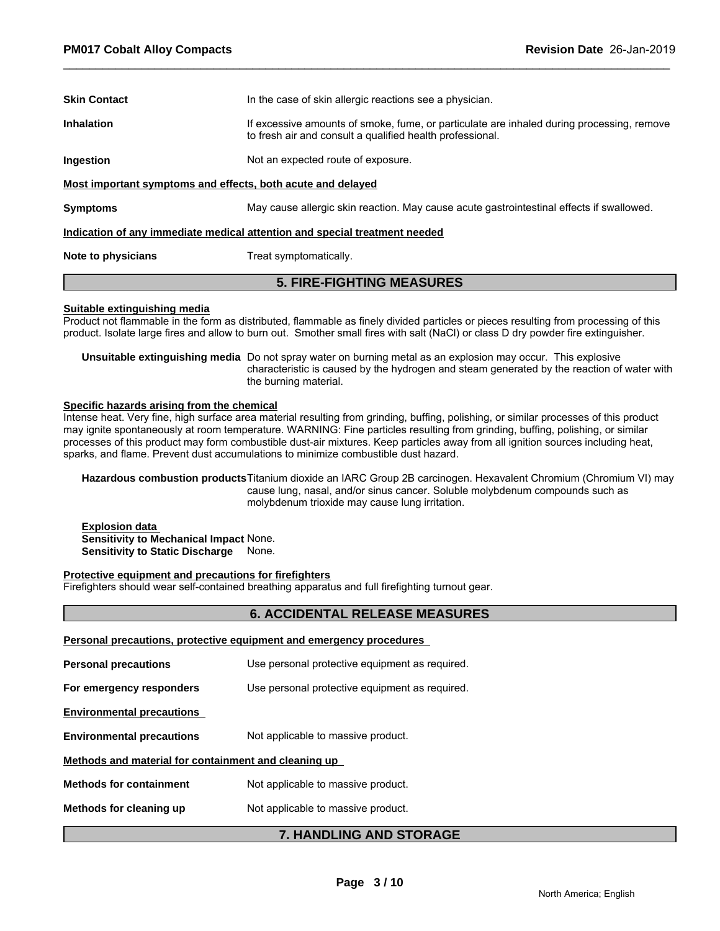| <b>Skin Contact</b>                                                        | In the case of skin allergic reactions see a physician.                                                                                                |  |  |  |  |
|----------------------------------------------------------------------------|--------------------------------------------------------------------------------------------------------------------------------------------------------|--|--|--|--|
| <b>Inhalation</b>                                                          | If excessive amounts of smoke, fume, or particulate are inhaled during processing, remove<br>to fresh air and consult a qualified health professional. |  |  |  |  |
| Ingestion                                                                  | Not an expected route of exposure.                                                                                                                     |  |  |  |  |
| Most important symptoms and effects, both acute and delayed                |                                                                                                                                                        |  |  |  |  |
| <b>Symptoms</b>                                                            | May cause allergic skin reaction. May cause acute gastrointestinal effects if swallowed.                                                               |  |  |  |  |
| Indication of any immediate medical attention and special treatment needed |                                                                                                                                                        |  |  |  |  |
| Note to physicians                                                         | Treat symptomatically.                                                                                                                                 |  |  |  |  |
|                                                                            |                                                                                                                                                        |  |  |  |  |

# **5. FIRE-FIGHTING MEASURES**

#### **Suitable extinguishing media**

Product not flammable in the form as distributed, flammable as finely divided particles or pieces resulting from processing of this product. Isolate large fires and allow to burn out. Smother small fires with salt (NaCl) or class D dry powder fire extinguisher.

**Unsuitable extinguishing media** Do not spray water on burning metal as an explosion may occur. This explosive characteristic is caused by the hydrogen and steam generated by the reaction of water with the burning material.

#### **Specific hazards arising from the chemical**

Intense heat. Very fine, high surface area material resulting from grinding, buffing, polishing, or similar processes of this product may ignite spontaneously at room temperature. WARNING: Fine particles resulting from grinding, buffing, polishing, or similar processes of this product may form combustible dust-air mixtures. Keep particles away from all ignition sources including heat, sparks, and flame. Prevent dust accumulations to minimize combustible dust hazard.

**Hazardous combustion products**Titanium dioxide an IARC Group 2B carcinogen. Hexavalent Chromium (Chromium VI) may cause lung, nasal, and/or sinus cancer. Soluble molybdenum compounds such as molybdenum trioxide may cause lung irritation.

**Explosion data Sensitivity to Mechanical Impact** None. **Sensitivity to Static Discharge** None.

#### **Protective equipment and precautions for firefighters**

Firefighters should wear self-contained breathing apparatus and full firefighting turnout gear.

# **6. ACCIDENTAL RELEASE MEASURES**

|  |  | Personal precautions, protective equipment and emergency procedures |  |  |
|--|--|---------------------------------------------------------------------|--|--|
|  |  |                                                                     |  |  |

|                                                      | <b>7. HANDLING AND STORAGE</b>                 |
|------------------------------------------------------|------------------------------------------------|
| Methods for cleaning up                              | Not applicable to massive product.             |
| <b>Methods for containment</b>                       | Not applicable to massive product.             |
| Methods and material for containment and cleaning up |                                                |
| <b>Environmental precautions</b>                     | Not applicable to massive product.             |
| <b>Environmental precautions</b>                     |                                                |
| For emergency responders                             | Use personal protective equipment as required. |
| <b>Personal precautions</b>                          | Use personal protective equipment as required. |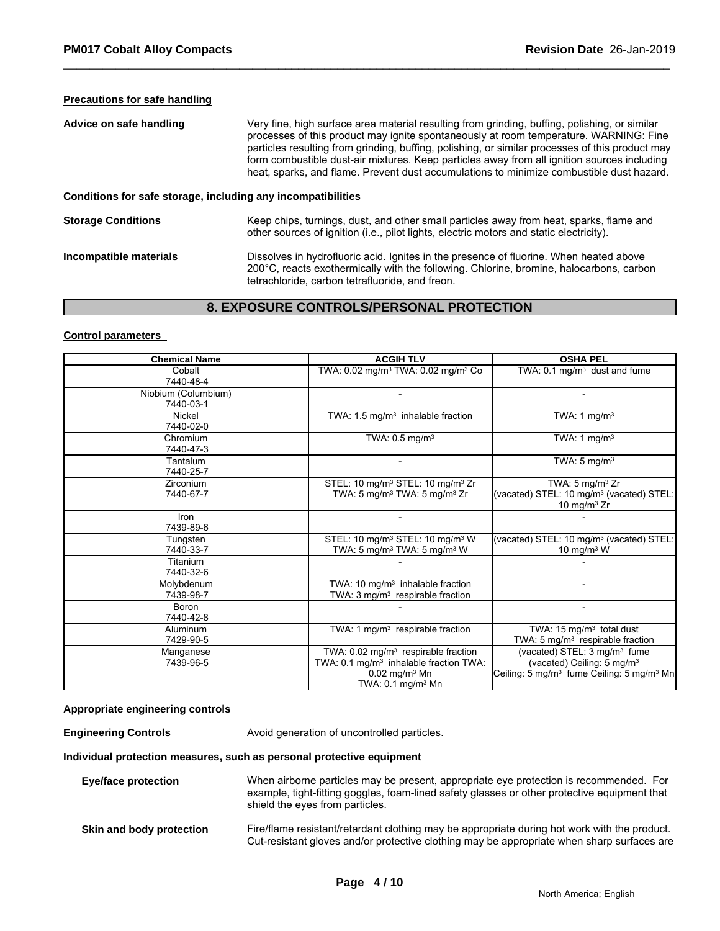### **Precautions for safe handling**

| Advice on safe handling                                      | Very fine, high surface area material resulting from grinding, buffing, polishing, or similar<br>processes of this product may ignite spontaneously at room temperature. WARNING: Fine<br>particles resulting from grinding, buffing, polishing, or similar processes of this product may<br>form combustible dust-air mixtures. Keep particles away from all ignition sources including<br>heat, sparks, and flame. Prevent dust accumulations to minimize combustible dust hazard. |
|--------------------------------------------------------------|--------------------------------------------------------------------------------------------------------------------------------------------------------------------------------------------------------------------------------------------------------------------------------------------------------------------------------------------------------------------------------------------------------------------------------------------------------------------------------------|
| Conditions for safe storage, including any incompatibilities |                                                                                                                                                                                                                                                                                                                                                                                                                                                                                      |
| <b>Storage Conditions</b>                                    | Keep chips, turnings, dust, and other small particles away from heat, sparks, flame and<br>other sources of ignition (i.e., pilot lights, electric motors and static electricity).                                                                                                                                                                                                                                                                                                   |
| Incompatible materials                                       | Dissolves in hydrofluoric acid. Ignites in the presence of fluorine. When heated above<br>200°C, reacts exothermically with the following. Chlorine, bromine, halocarbons, carbon                                                                                                                                                                                                                                                                                                    |

# **8. EXPOSURE CONTROLS/PERSONAL PROTECTION**

tetrachloride, carbon tetrafluoride, and freon.

#### **Control parameters**

| <b>Chemical Name</b> | <b>ACGIH TLV</b>                                           | <b>OSHA PEL</b>                                                   |
|----------------------|------------------------------------------------------------|-------------------------------------------------------------------|
| Cobalt               | TWA: 0.02 mg/m <sup>3</sup> TWA: 0.02 mg/m <sup>3</sup> Co | TWA: $0.1 \text{ mg/m}^3$ dust and fume                           |
| 7440-48-4            |                                                            |                                                                   |
| Niobium (Columbium)  |                                                            |                                                                   |
| 7440-03-1            |                                                            |                                                                   |
| Nickel               | TWA: $1.5 \text{ mg/m}^3$ inhalable fraction               | TWA: 1 mg/m <sup>3</sup>                                          |
| 7440-02-0            |                                                            |                                                                   |
| Chromium             | TWA: $0.5 \text{ mg/m}^3$                                  | TWA: 1 mg/m <sup>3</sup>                                          |
| 7440-47-3            |                                                            |                                                                   |
| Tantalum             |                                                            | TWA: $5 \text{ mg/m}^3$                                           |
| 7440-25-7            |                                                            |                                                                   |
| Zirconium            | STEL: 10 mg/m <sup>3</sup> STEL: 10 mg/m <sup>3</sup> Zr   | TWA: $5 \text{ mg/m}^3$ Zr                                        |
| 7440-67-7            | TWA: 5 mg/m <sup>3</sup> TWA: 5 mg/m <sup>3</sup> Zr       | (vacated) STEL: 10 mg/m <sup>3</sup> (vacated) STEL:              |
|                      |                                                            | 10 mg/m $3$ Zr                                                    |
| Iron                 |                                                            |                                                                   |
| 7439-89-6            |                                                            |                                                                   |
| Tungsten             | STEL: 10 mg/m <sup>3</sup> STEL: 10 mg/m <sup>3</sup> W    | (vacated) STEL: 10 mg/m <sup>3</sup> (vacated) STEL:              |
| 7440-33-7            | TWA: 5 mg/m <sup>3</sup> TWA: 5 mg/m <sup>3</sup> W        | 10 mg/m $3$ W                                                     |
| Titanium             |                                                            |                                                                   |
| 7440-32-6            |                                                            |                                                                   |
| Molybdenum           | TWA: 10 mg/m <sup>3</sup> inhalable fraction               | -                                                                 |
| 7439-98-7            | TWA: 3 mg/m <sup>3</sup> respirable fraction               |                                                                   |
| <b>Boron</b>         |                                                            | -                                                                 |
| 7440-42-8            |                                                            |                                                                   |
| Aluminum             | TWA: 1 $mg/m3$ respirable fraction                         | TWA: 15 mg/m <sup>3</sup> total dust                              |
| 7429-90-5            |                                                            | TWA: 5 $mg/m3$ respirable fraction                                |
| Manganese            | TWA: $0.02 \text{ mg/m}^3$ respirable fraction             | (vacated) STEL: 3 mg/m <sup>3</sup> fume                          |
| 7439-96-5            | TWA: 0.1 mg/m <sup>3</sup> inhalable fraction TWA:         | (vacated) Ceiling: 5 mg/m <sup>3</sup>                            |
|                      | $0.02$ mg/m <sup>3</sup> Mn                                | Ceiling: 5 mg/m <sup>3</sup> fume Ceiling: 5 mg/m <sup>3</sup> Mn |
|                      | TWA: $0.1 \text{ mg/m}^3$ Mn                               |                                                                   |

#### **Appropriate engineering controls**

**Engineering Controls** Avoid generation of uncontrolled particles.

#### **Individual protection measures, such as personal protective equipment**

| Eye/face protection      | When airborne particles may be present, appropriate eye protection is recommended. For<br>example, tight-fitting goggles, foam-lined safety glasses or other protective equipment that<br>shield the eyes from particles. |
|--------------------------|---------------------------------------------------------------------------------------------------------------------------------------------------------------------------------------------------------------------------|
| Skin and body protection | Fire/flame resistant/retardant clothing may be appropriate during hot work with the product.<br>Cut-resistant gloves and/or protective clothing may be appropriate when sharp surfaces are                                |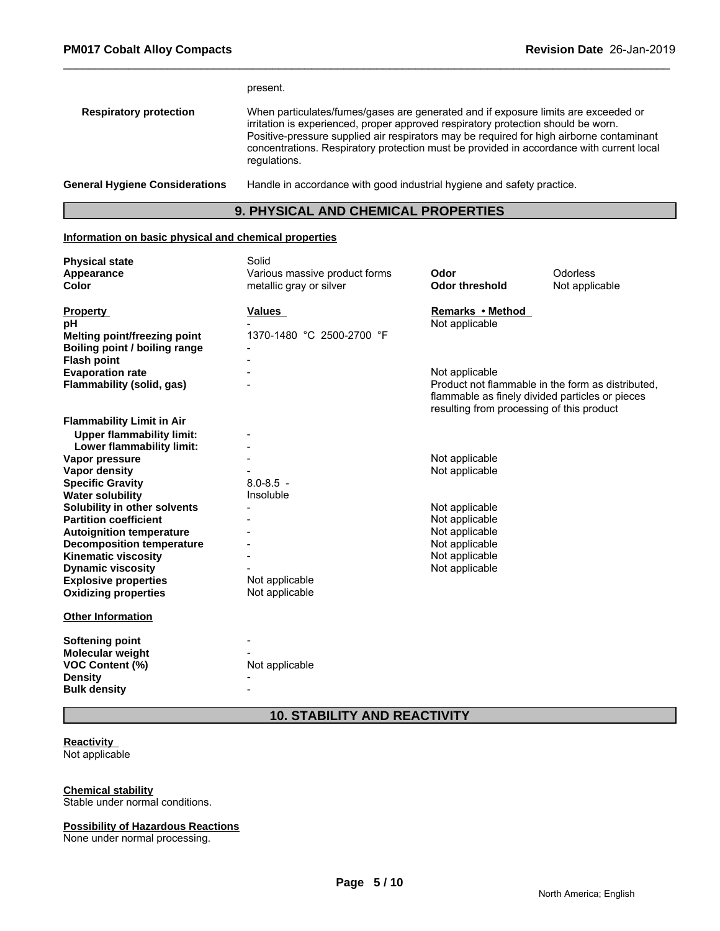|                                       | present.                                                                                                                                                                                                                                                                                                                                                                        |
|---------------------------------------|---------------------------------------------------------------------------------------------------------------------------------------------------------------------------------------------------------------------------------------------------------------------------------------------------------------------------------------------------------------------------------|
| <b>Respiratory protection</b>         | When particulates/fumes/gases are generated and if exposure limits are exceeded or<br>irritation is experienced, proper approved respiratory protection should be worn.<br>Positive-pressure supplied air respirators may be required for high airborne contaminant<br>concentrations. Respiratory protection must be provided in accordance with current local<br>regulations. |
| <b>General Hygiene Considerations</b> | Handle in accordance with good industrial hygiene and safety practice.                                                                                                                                                                                                                                                                                                          |

# **9. PHYSICAL AND CHEMICAL PROPERTIES**

#### **Information on basic physical and chemical properties**

| <b>Physical state</b><br>Appearance<br>Color                  | Solid<br>Various massive product forms<br>metallic gray or silver | Odor<br><b>Odor threshold</b>                                                                | Odorless<br>Not applicable                        |
|---------------------------------------------------------------|-------------------------------------------------------------------|----------------------------------------------------------------------------------------------|---------------------------------------------------|
| <b>Property</b><br>pH                                         | Values                                                            | Remarks • Method<br>Not applicable                                                           |                                                   |
| Melting point/freezing point<br>Boiling point / boiling range | 1370-1480 °C 2500-2700 °F                                         |                                                                                              |                                                   |
| <b>Flash point</b>                                            |                                                                   |                                                                                              |                                                   |
| <b>Evaporation rate</b>                                       |                                                                   | Not applicable                                                                               |                                                   |
| Flammability (solid, gas)                                     |                                                                   | flammable as finely divided particles or pieces<br>resulting from processing of this product | Product not flammable in the form as distributed, |
| <b>Flammability Limit in Air</b>                              |                                                                   |                                                                                              |                                                   |
| <b>Upper flammability limit:</b>                              |                                                                   |                                                                                              |                                                   |
| Lower flammability limit:                                     |                                                                   |                                                                                              |                                                   |
| Vapor pressure                                                |                                                                   | Not applicable                                                                               |                                                   |
| <b>Vapor density</b>                                          |                                                                   | Not applicable                                                                               |                                                   |
| <b>Specific Gravity</b>                                       | $8.0 - 8.5 -$                                                     |                                                                                              |                                                   |
| <b>Water solubility</b>                                       | Insoluble                                                         |                                                                                              |                                                   |
| Solubility in other solvents                                  |                                                                   | Not applicable                                                                               |                                                   |
| <b>Partition coefficient</b>                                  |                                                                   | Not applicable                                                                               |                                                   |
| <b>Autoignition temperature</b>                               |                                                                   | Not applicable                                                                               |                                                   |
| <b>Decomposition temperature</b>                              |                                                                   | Not applicable                                                                               |                                                   |
| <b>Kinematic viscosity</b>                                    |                                                                   | Not applicable                                                                               |                                                   |
| <b>Dynamic viscosity</b>                                      |                                                                   | Not applicable                                                                               |                                                   |
| <b>Explosive properties</b>                                   | Not applicable                                                    |                                                                                              |                                                   |
| <b>Oxidizing properties</b>                                   | Not applicable                                                    |                                                                                              |                                                   |
| <b>Other Information</b>                                      |                                                                   |                                                                                              |                                                   |
| <b>Softening point</b>                                        |                                                                   |                                                                                              |                                                   |
| Molecular weight                                              |                                                                   |                                                                                              |                                                   |
| <b>VOC Content (%)</b>                                        | Not applicable                                                    |                                                                                              |                                                   |
| <b>Density</b>                                                |                                                                   |                                                                                              |                                                   |
| <b>Bulk density</b>                                           |                                                                   |                                                                                              |                                                   |
|                                                               |                                                                   |                                                                                              |                                                   |

# **10. STABILITY AND REACTIVITY**

# **Reactivity**

Not applicable

#### **Chemical stability**

Stable under normal conditions.

# **Possibility of Hazardous Reactions**

None under normal processing.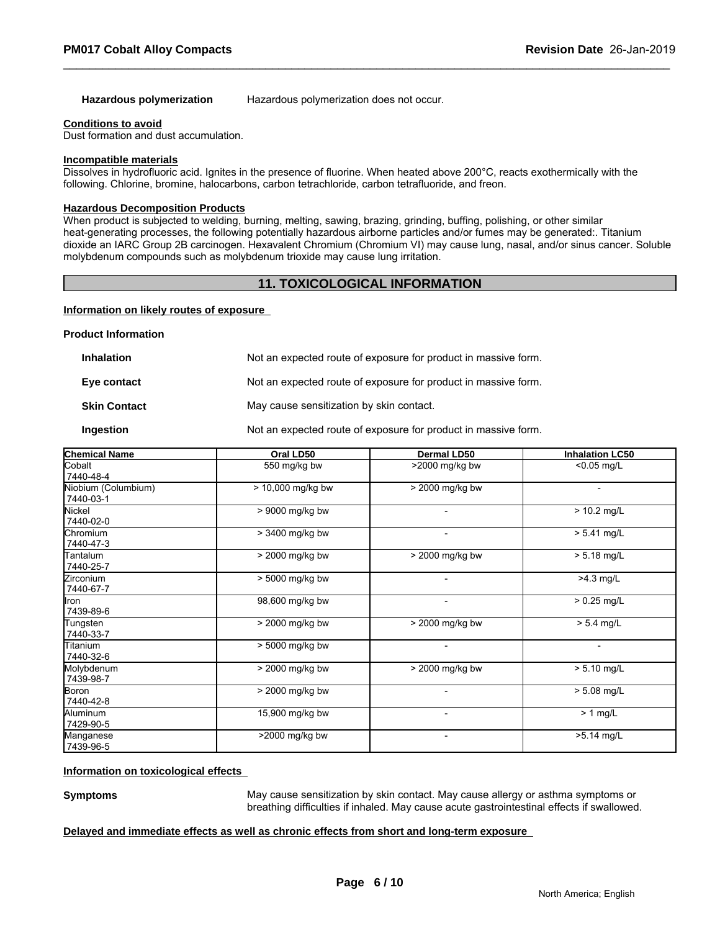**Hazardous polymerization** Hazardous polymerization does not occur.

#### **Conditions to avoid**

Dust formation and dust accumulation.

#### **Incompatible materials**

Dissolves in hydrofluoric acid. Ignites in the presence of fluorine. When heated above 200°C, reacts exothermically with the following. Chlorine, bromine, halocarbons, carbon tetrachloride, carbon tetrafluoride, and freon.

# **Hazardous Decomposition Products**

When product is subjected to welding, burning, melting, sawing, brazing, grinding, buffing, polishing, or other similar heat-generating processes, the following potentially hazardous airborne particles and/or fumes may be generated:. Titanium dioxide an IARC Group 2B carcinogen. Hexavalent Chromium (Chromium VI) may cause lung, nasal, and/or sinus cancer. Soluble molybdenum compounds such as molybdenum trioxide may cause lung irritation.

### **11. TOXICOLOGICAL INFORMATION**

#### **Information on likely routes of exposure**

#### **Product Information**

| <b>Inhalation</b>   | Not an expected route of exposure for product in massive form. |
|---------------------|----------------------------------------------------------------|
| Eye contact         | Not an expected route of exposure for product in massive form. |
| <b>Skin Contact</b> | May cause sensitization by skin contact.                       |
| Ingestion           | Not an expected route of exposure for product in massive form. |

| <b>Chemical Name</b>             | Oral LD50         | <b>Dermal LD50</b> | <b>Inhalation LC50</b> |
|----------------------------------|-------------------|--------------------|------------------------|
| Cobalt<br>7440-48-4              | 550 mg/kg bw      | >2000 mg/kg bw     | <0.05 mg/L             |
| Niobium (Columbium)<br>7440-03-1 | > 10,000 mg/kg bw | > 2000 mg/kg bw    |                        |
| Nickel<br>7440-02-0              | > 9000 mg/kg bw   |                    | $> 10.2$ mg/L          |
| Chromium<br>7440-47-3            | > 3400 mg/kg bw   |                    | $> 5.41$ mg/L          |
| Tantalum<br>7440-25-7            | > 2000 mg/kg bw   | $>$ 2000 mg/kg bw  | $> 5.18$ mg/L          |
| <b>Zirconium</b><br>7440-67-7    | > 5000 mg/kg bw   | $\blacksquare$     | $>4.3$ mg/L            |
| llron.<br>7439-89-6              | 98,600 mg/kg bw   |                    | $> 0.25$ mg/L          |
| Tungsten<br>7440-33-7            | > 2000 mg/kg bw   | > 2000 mg/kg bw    | $> 5.4$ mg/L           |
| Titanium<br>7440-32-6            | $> 5000$ mg/kg bw |                    |                        |
| Molybdenum<br>7439-98-7          | > 2000 mg/kg bw   | > 2000 mg/kg bw    | $> 5.10$ mg/L          |
| Boron<br>7440-42-8               | > 2000 mg/kg bw   |                    | $> 5.08$ mg/L          |
| Aluminum<br>7429-90-5            | 15,900 mg/kg bw   |                    | $> 1$ mg/L             |
| Manganese<br>7439-96-5           | >2000 mg/kg bw    |                    | >5.14 mg/L             |

#### **Information on toxicological effects**

**Symptoms** May cause sensitization by skin contact. May cause allergy or asthma symptoms or breathing difficulties if inhaled. May cause acute gastrointestinal effects if swallowed.

#### **Delayed and immediate effects as well as chronic effects from short and long-term exposure**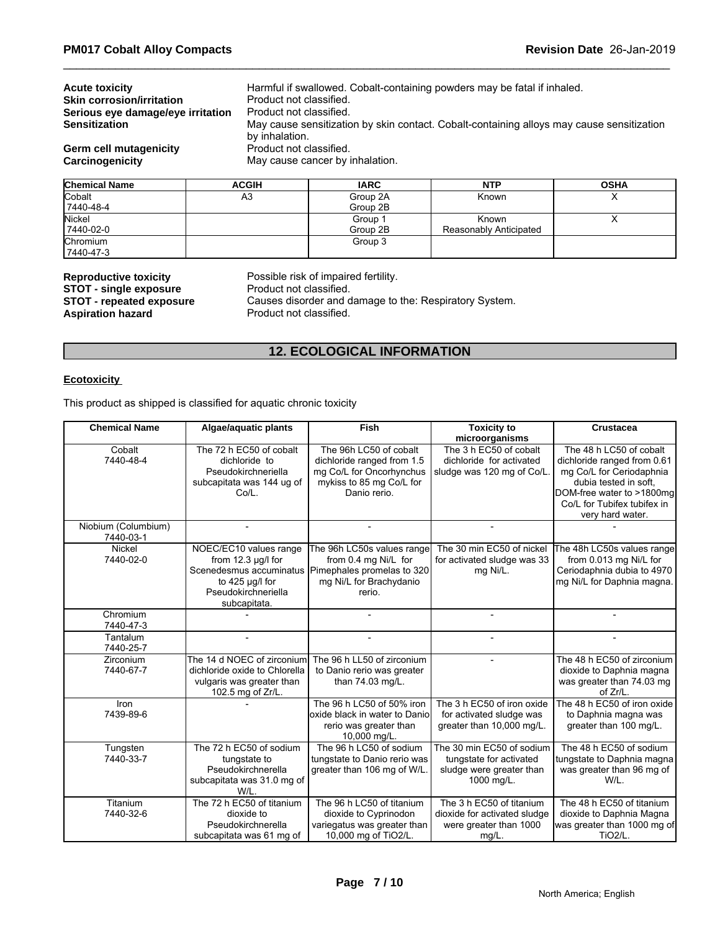| <b>Acute toxicity</b>                                                                                          |                         | Harmful if swallowed. Cobalt-containing powders may be fatal if inhaled.                  |            |             |  |  |  |
|----------------------------------------------------------------------------------------------------------------|-------------------------|-------------------------------------------------------------------------------------------|------------|-------------|--|--|--|
| <b>Skin corrosion/irritation</b>                                                                               |                         | Product not classified.                                                                   |            |             |  |  |  |
| Serious eye damage/eye irritation                                                                              | Product not classified. |                                                                                           |            |             |  |  |  |
| <b>Sensitization</b>                                                                                           | by inhalation.          | May cause sensitization by skin contact. Cobalt-containing alloys may cause sensitization |            |             |  |  |  |
| Product not classified.<br><b>Germ cell mutagenicity</b><br>May cause cancer by inhalation.<br>Carcinogenicity |                         |                                                                                           |            |             |  |  |  |
| <b>Chemical Name</b>                                                                                           | <b>ACGIH</b>            | <b>IARC</b>                                                                               | <b>NTP</b> | <b>OSHA</b> |  |  |  |
| <b>Cobalt</b>                                                                                                  | A3                      | Group 2A                                                                                  | Known      |             |  |  |  |
| 17440-48-4                                                                                                     |                         | Group 2B                                                                                  |            |             |  |  |  |

| <b>L</b> CODAIT | A3 | Group ZA | Known                  | $\cdot$ |
|-----------------|----|----------|------------------------|---------|
| 17440-48-4      |    | Group 2B |                        |         |
| Nickel          |    | Group 1  | Known                  | ,,      |
| 7440-02-0       |    | Group 2B | Reasonably Anticipated |         |
| Chromium        |    | Group 3  |                        |         |
| 7440-47-3       |    |          |                        |         |

**STOT - single exposure<br>STOT - repeated exposure Aspiration hazard** 

**Reproductive toxicity** Possible risk of impaired fertility.<br>**STOT - single exposure** Product not classified. Causes disorder and damage to the: Respiratory System.<br>Product not classified.

# **12. ECOLOGICAL INFORMATION**

#### **Ecotoxicity**

This product as shipped is classified for aquatic chronic toxicity

| <b>Chemical Name</b>             | Algae/aquatic plants                                                                                                                        | Fish                                                                                                                         | <b>Toxicity to</b><br>microorganisms                                                           | <b>Crustacea</b>                                                                                                                                                                            |
|----------------------------------|---------------------------------------------------------------------------------------------------------------------------------------------|------------------------------------------------------------------------------------------------------------------------------|------------------------------------------------------------------------------------------------|---------------------------------------------------------------------------------------------------------------------------------------------------------------------------------------------|
| Cobalt<br>7440-48-4              | The 72 h EC50 of cobalt<br>dichloride to<br>Pseudokirchneriella<br>subcapitata was 144 ug of<br>Co/L.                                       | The 96h LC50 of cobalt<br>dichloride ranged from 1.5<br>mg Co/L for Oncorhynchus<br>mykiss to 85 mg Co/L for<br>Danio rerio. | The 3 h EC50 of cobalt<br>dichloride for activated<br>sludge was 120 mg of Co/L                | The 48 h LC50 of cobalt<br>dichloride ranged from 0.61<br>mg Co/L for Ceriodaphnia<br>dubia tested in soft.<br>DOM-free water to >1800mg<br>Co/L for Tubifex tubifex in<br>very hard water. |
| Niobium (Columbium)<br>7440-03-1 |                                                                                                                                             |                                                                                                                              |                                                                                                |                                                                                                                                                                                             |
| Nickel<br>7440-02-0              | NOEC/EC10 values range<br>from $12.3 \mu g/l$ for<br>Scenedesmus accuminatus<br>to $425 \mu g/l$ for<br>Pseudokirchneriella<br>subcapitata. | The 96h LC50s values range<br>from 0.4 mg Ni/L for<br>Pimephales promelas to 320<br>mg Ni/L for Brachydanio<br>rerio.        | The 30 min EC50 of nickel<br>for activated sludge was 33<br>mg Ni/L.                           | The 48h LC50s values range<br>from 0.013 mg Ni/L for<br>Ceriodaphnia dubia to 4970<br>mg Ni/L for Daphnia magna.                                                                            |
| Chromium<br>7440-47-3            |                                                                                                                                             |                                                                                                                              |                                                                                                | $\overline{a}$                                                                                                                                                                              |
| Tantalum<br>7440-25-7            | L.                                                                                                                                          |                                                                                                                              |                                                                                                |                                                                                                                                                                                             |
| <b>Zirconium</b><br>7440-67-7    | The 14 d NOEC of zirconium<br>dichloride oxide to Chlorella<br>vulgaris was greater than<br>102.5 mg of Zr/L.                               | The 96 h LL50 of zirconium<br>to Danio rerio was greater<br>than 74.03 mg/L.                                                 |                                                                                                | The 48 h EC50 of zirconium<br>dioxide to Daphnia magna<br>was greater than 74.03 mg<br>of Zr/L.                                                                                             |
| Iron<br>7439-89-6                |                                                                                                                                             | The 96 h LC50 of 50% iron<br>loxide black in water to Danio<br>rerio was greater than<br>10,000 mg/L.                        | The 3 h EC50 of iron oxide<br>for activated sludge was<br>greater than 10,000 mg/L.            | The 48 h EC50 of iron oxide<br>to Daphnia magna was<br>greater than 100 mg/L.                                                                                                               |
| Tungsten<br>7440-33-7            | The 72 h EC50 of sodium<br>tungstate to<br>Pseudokirchnerella<br>subcapitata was 31.0 mg of<br>W/L.                                         | The 96 h LC50 of sodium<br>tungstate to Danio rerio was<br>greater than 106 mg of W/L                                        | The 30 min EC50 of sodium<br>tungstate for activated<br>sludge were greater than<br>1000 mg/L. | The 48 h EC50 of sodium<br>tungstate to Daphnia magna<br>was greater than 96 mg of<br>W/L.                                                                                                  |
| Titanium<br>7440-32-6            | The 72 h EC50 of titanium<br>dioxide to<br>Pseudokirchnerella<br>subcapitata was 61 mg of                                                   | The 96 h LC50 of titanium<br>dioxide to Cyprinodon<br>variegatus was greater than<br>10,000 mg of TiO2/L.                    | The 3 h EC50 of titanium<br>dioxide for activated sludge<br>were greater than 1000<br>mg/L.    | The 48 h EC50 of titanium<br>dioxide to Daphnia Magna<br>was greater than 1000 mg of<br>TiO <sub>2</sub> /L.                                                                                |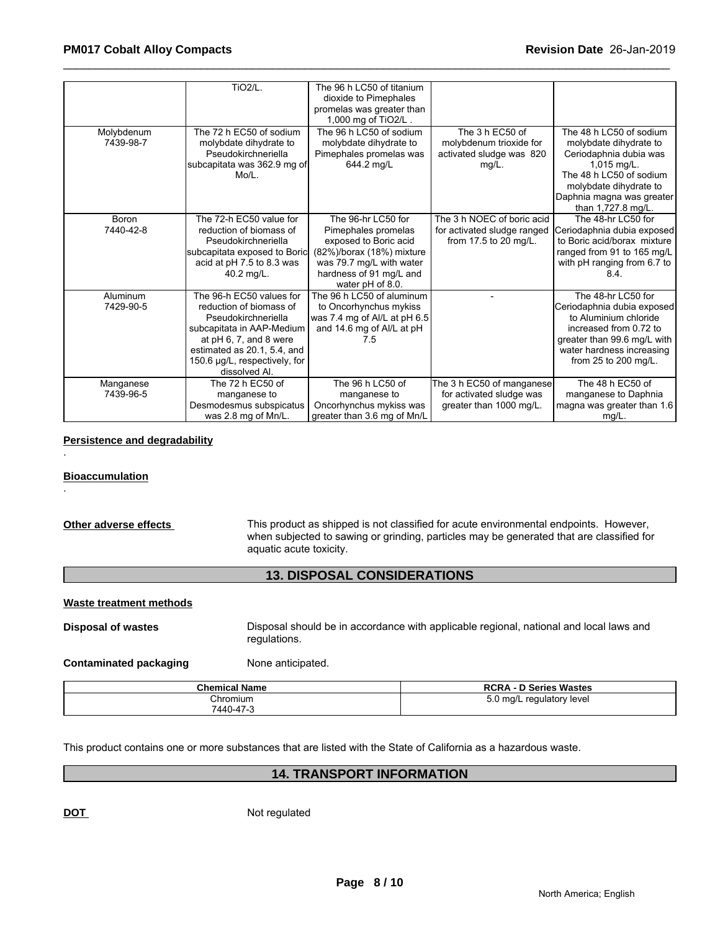|                              | <b>TiO2/L.</b>                                                                                                                                                                                                       | The 96 h LC50 of titanium<br>dioxide to Pimephales<br>promelas was greater than<br>1,000 mg of TiO2/L.                                                                     |                                                                                    |                                                                                                                                                                                                      |
|------------------------------|----------------------------------------------------------------------------------------------------------------------------------------------------------------------------------------------------------------------|----------------------------------------------------------------------------------------------------------------------------------------------------------------------------|------------------------------------------------------------------------------------|------------------------------------------------------------------------------------------------------------------------------------------------------------------------------------------------------|
| Molybdenum<br>7439-98-7      | The 72 h EC50 of sodium<br>molybdate dihydrate to<br>Pseudokirchneriella<br>subcapitata was 362.9 mg of<br>Mo/L.                                                                                                     | The 96 h LC50 of sodium<br>molybdate dihydrate to<br>Pimephales promelas was<br>644.2 mg/L                                                                                 | The 3 h EC50 of<br>molybdenum trioxide for<br>activated sludge was 820<br>$mg/L$ . | The 48 h LC50 of sodium<br>molybdate dihydrate to<br>Ceriodaphnia dubia was<br>$1,015$ mg/L.<br>The 48 h LC50 of sodium<br>molybdate dihydrate to<br>Daphnia magna was greater<br>than 1,727.8 mg/L. |
| <b>Boron</b><br>7440-42-8    | The 72-h EC50 value for<br>reduction of biomass of<br>Pseudokirchneriella<br>subcapitata exposed to Boric<br>acid at pH 7.5 to 8.3 was<br>40.2 mg/L.                                                                 | The 96-hr LC50 for<br>Pimephales promelas<br>exposed to Boric acid<br>(82%)/borax (18%) mixture<br>was 79.7 mg/L with water<br>hardness of 91 mg/L and<br>water pH of 8.0. | The 3 h NOEC of boric acid<br>for activated sludge ranged<br>from 17.5 to 20 mg/L. | The 48-hr LC50 for<br>Ceriodaphnia dubia exposed<br>to Boric acid/borax mixture<br>ranged from 91 to 165 mg/L<br>with pH ranging from 6.7 to<br>8.4.                                                 |
| <b>Aluminum</b><br>7429-90-5 | The 96-h EC50 values for<br>reduction of biomass of<br>Pseudokirchneriella<br>subcapitata in AAP-Medium<br>at $pH$ 6, 7, and 8 were<br>estimated as 20.1, 5.4, and<br>150.6 µg/L, respectively, for<br>dissolved Al. | The 96 h LC50 of aluminum<br>to Oncorhynchus mykiss<br>was 7.4 mg of Al/L at pH 6.5<br>and 14.6 mg of Al/L at pH<br>7.5                                                    |                                                                                    | The 48-hr LC50 for<br>Ceriodaphnia dubia exposed<br>to Aluminium chloride<br>increased from 0.72 to<br>greater than 99.6 mg/L with<br>water hardness increasing<br>from 25 to 200 mg/L.              |
| Manganese<br>7439-96-5       | The 72 h EC50 of<br>manganese to<br>Desmodesmus subspicatus<br>was 2.8 mg of Mn/L.                                                                                                                                   | The 96 h LC50 of<br>manganese to<br>Oncorhynchus mykiss was<br>greater than 3.6 mg of Mn/L                                                                                 | The 3 h EC50 of manganese<br>for activated sludge was<br>greater than 1000 mg/L.   | The 48 h EC50 of<br>manganese to Daphnia<br>magna was greater than 1.6<br>$mg/L$ .                                                                                                                   |

### **Persistence and degradability**

#### **Bioaccumulation**

.

.

**Other adverse effects** This product as shipped is not classified for acute environmental endpoints. However, when subjected to sawing or grinding, particles may be generated that are classified for aquatic acute toxicity.

# **13. DISPOSAL CONSIDERATIONS**

# **Waste treatment methods**

**Disposal of wastes Disposal should be in accordance with applicable regional, national and local laws and** regulations.

**Contaminated packaging Mone anticipated.** 

| <b>Chemical Name</b> | <b>RCRA - D Series Wastes</b>                            |
|----------------------|----------------------------------------------------------|
| Chromium             | $\sim$ ma/L <sub>12</sub><br>regulatory level<br>יו ט. ט |
| 7440-47-3            |                                                          |

This product contains one or more substances that are listed with the State of California as a hazardous waste.

# **14. TRANSPORT INFORMATION**

**DOT** Not regulated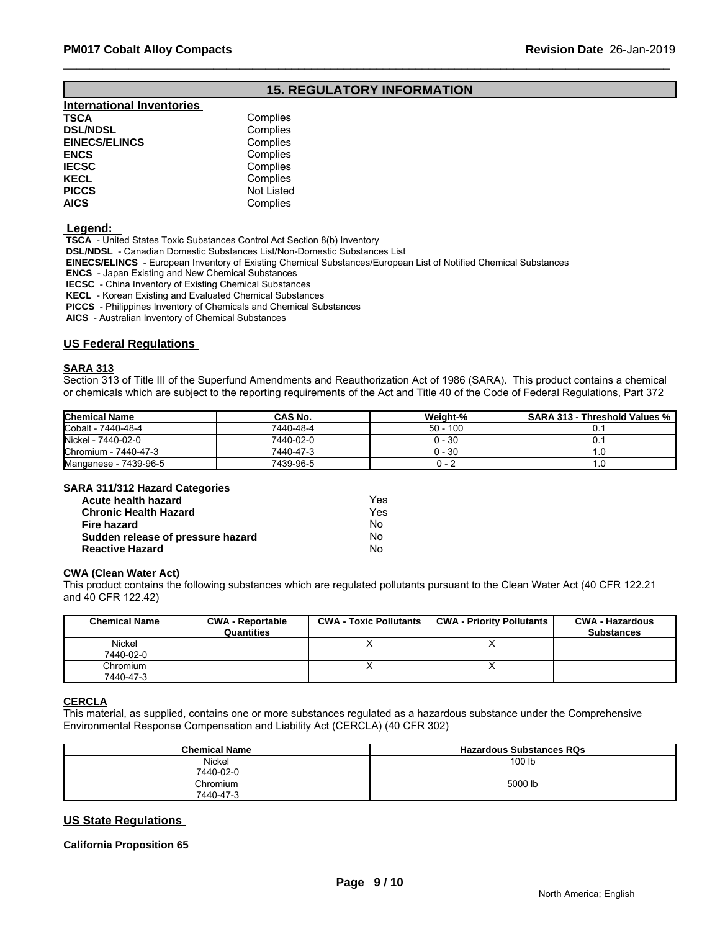# **15. REGULATORY INFORMATION**

| <b>International Inventories</b> |                   |
|----------------------------------|-------------------|
| TSCA                             | Complies          |
| <b>DSL/NDSL</b>                  | Complies          |
| <b>EINECS/ELINCS</b>             | Complies          |
| ENCS                             | Complies          |
| <b>IECSC</b>                     | Complies          |
| KECL                             | Complies          |
| PICCS                            | <b>Not Listed</b> |
| AICS                             | Complies          |
|                                  |                   |

#### **Legend:**

 **TSCA** - United States Toxic Substances Control Act Section 8(b) Inventory

 **DSL/NDSL** - Canadian Domestic Substances List/Non-Domestic Substances List

 **EINECS/ELINCS** - European Inventory of Existing Chemical Substances/European List of Notified Chemical Substances

 **ENCS** - Japan Existing and New Chemical Substances

 **IECSC** - China Inventory of Existing Chemical Substances

 **KECL** - Korean Existing and Evaluated Chemical Substances

 **PICCS** - Philippines Inventory of Chemicals and Chemical Substances

 **AICS** - Australian Inventory of Chemical Substances

#### **US Federal Regulations**

#### **SARA 313**

Section 313 of Title III of the Superfund Amendments and Reauthorization Act of 1986 (SARA). This product contains a chemical or chemicals which are subject to the reporting requirements of the Act and Title 40 of the Code of Federal Regulations, Part 372

| <b>Chemical Name</b>    | CAS No.   | Weight-%   | SARA 313 - Threshold Values % ' |
|-------------------------|-----------|------------|---------------------------------|
| Cobalt - 7440-48-4      | 7440-48-4 | $50 - 100$ |                                 |
| Nickel - 7440-02-0      | 7440-02-0 | 0 - 30     |                                 |
| Chromium -<br>7440-47-3 | 7440-47-3 | 0 - 30     | . د                             |
| Manganese - 7439-96-5   | 7439-96-5 |            | ن ا                             |

#### **SARA 311/312 Hazard Categories**

| Acute health hazard               | Yes |  |
|-----------------------------------|-----|--|
| <b>Chronic Health Hazard</b>      | Yes |  |
| Fire hazard                       | Nο  |  |
| Sudden release of pressure hazard | Nο  |  |
| <b>Reactive Hazard</b>            | No  |  |

#### **CWA (Clean Water Act)**

This product contains the following substances which are regulated pollutants pursuant to the Clean Water Act (40 CFR 122.21 and 40 CFR 122.42)

| <b>Chemical Name</b>  | <b>CWA - Reportable</b><br>Quantities | <b>CWA - Toxic Pollutants</b> | <b>CWA - Priority Pollutants</b> | <b>CWA - Hazardous</b><br><b>Substances</b> |
|-----------------------|---------------------------------------|-------------------------------|----------------------------------|---------------------------------------------|
| Nickel<br>7440-02-0   |                                       |                               |                                  |                                             |
|                       |                                       |                               |                                  |                                             |
| Chromium<br>7440-47-3 |                                       |                               |                                  |                                             |

#### **CERCLA**

This material, as supplied, contains one or more substances regulated as a hazardous substance under the Comprehensive Environmental Response Compensation and Liability Act (CERCLA) (40 CFR 302)

| <b>Chemical Name</b> | <b>Hazardous Substances RQs</b> |
|----------------------|---------------------------------|
| <b>Nickel</b>        | 100 lb                          |
| 7440-02-0            |                                 |
| Chromium             | 5000 lb                         |
| 7440-47-3            |                                 |

### **US State Regulations**

#### **California Proposition 65**